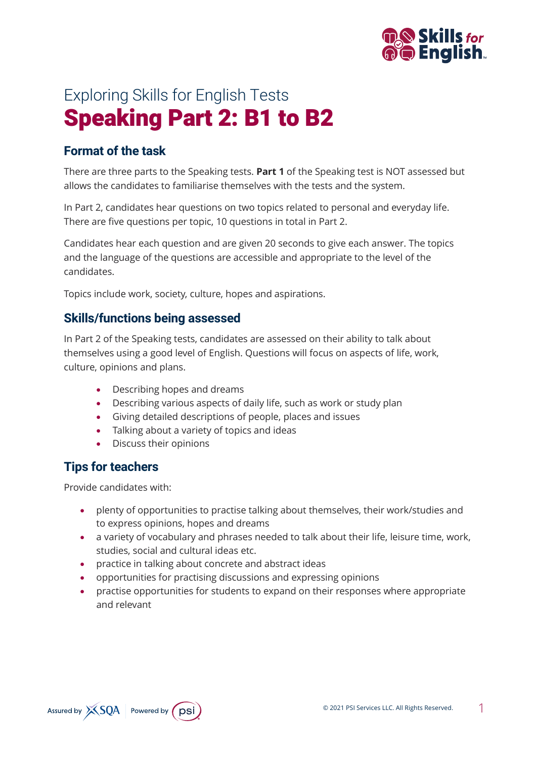

# Exploring Skills for English Tests Speaking Part 2: B1 to B2

## **Format of the task**

There are three parts to the Speaking tests. **Part 1** of the Speaking test is NOT assessed but allows the candidates to familiarise themselves with the tests and the system.

In Part 2, candidates hear questions on two topics related to personal and everyday life. There are five questions per topic, 10 questions in total in Part 2.

Candidates hear each question and are given 20 seconds to give each answer. The topics and the language of the questions are accessible and appropriate to the level of the candidates.

Topics include work, society, culture, hopes and aspirations.

#### **Skills/functions being assessed**

In Part 2 of the Speaking tests, candidates are assessed on their ability to talk about themselves using a good level of English. Questions will focus on aspects of life, work, culture, opinions and plans.

- Describing hopes and dreams
- Describing various aspects of daily life, such as work or study plan
- Giving detailed descriptions of people, places and issues
- Talking about a variety of topics and ideas
- Discuss their opinions

#### **Tips for teachers**

Provide candidates with:

- plenty of opportunities to practise talking about themselves, their work/studies and to express opinions, hopes and dreams
- a variety of vocabulary and phrases needed to talk about their life, leisure time, work, studies, social and cultural ideas etc.
- practice in talking about concrete and abstract ideas
- opportunities for practising discussions and expressing opinions
- practise opportunities for students to expand on their responses where appropriate and relevant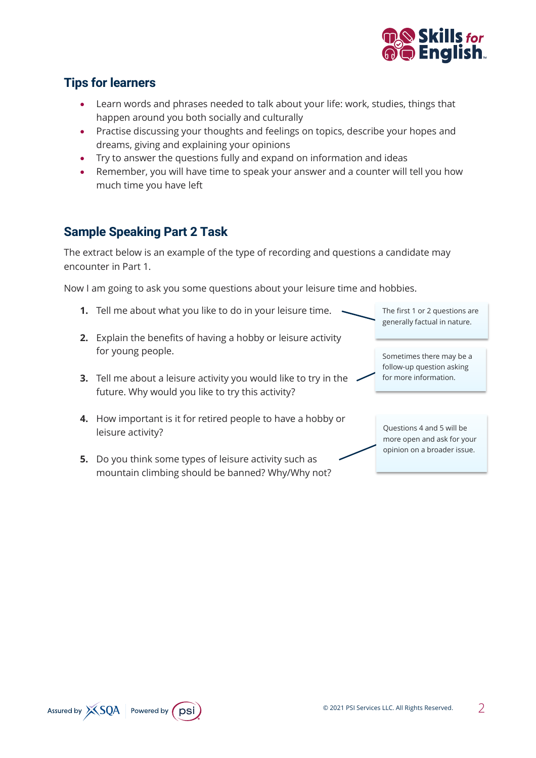

## **Tips for learners**

- Learn words and phrases needed to talk about your life: work, studies, things that happen around you both socially and culturally
- Practise discussing your thoughts and feelings on topics, describe your hopes and dreams, giving and explaining your opinions
- Try to answer the questions fully and expand on information and ideas
- Remember, you will have time to speak your answer and a counter will tell you how much time you have left

## **Sample Speaking Part 2 Task**

The extract below is an example of the type of recording and questions a candidate may encounter in Part 1.

Now I am going to ask you some questions about your leisure time and hobbies.

- **1.** Tell me about what you like to do in your leisure time.
- **2.** Explain the benefits of having a hobby or leisure activity for young people.
- **3.** Tell me about a leisure activity you would like to try in the future. Why would you like to try this activity?
- **4.** How important is it for retired people to have a hobby or leisure activity?
- **5.** Do you think some types of leisure activity such as mountain climbing should be banned? Why/Why not?

The first 1 or 2 questions are generally factual in nature.

Sometimes there may be a follow-up question asking for more information.

Questions 4 and 5 will be more open and ask for your opinion on a broader issue.